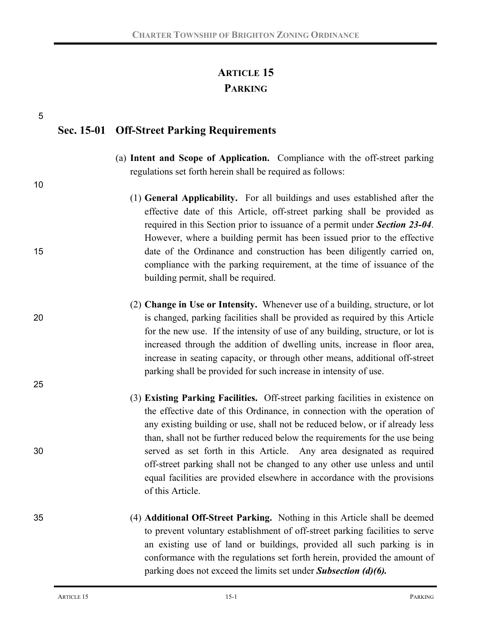# **ARTICLE 15 PARKING**

| 5  | Sec. 15-01 Off-Street Parking Requirements                                                                                                                                                                                                                                                                                                                                                                                                                                      |
|----|---------------------------------------------------------------------------------------------------------------------------------------------------------------------------------------------------------------------------------------------------------------------------------------------------------------------------------------------------------------------------------------------------------------------------------------------------------------------------------|
| 10 | (a) Intent and Scope of Application. Compliance with the off-street parking<br>regulations set forth herein shall be required as follows:                                                                                                                                                                                                                                                                                                                                       |
|    | (1) General Applicability. For all buildings and uses established after the<br>effective date of this Article, off-street parking shall be provided as<br>required in this Section prior to issuance of a permit under Section 23-04.<br>However, where a building permit has been issued prior to the effective                                                                                                                                                                |
| 15 | date of the Ordinance and construction has been diligently carried on,<br>compliance with the parking requirement, at the time of issuance of the<br>building permit, shall be required.                                                                                                                                                                                                                                                                                        |
| 20 | (2) Change in Use or Intensity. Whenever use of a building, structure, or lot<br>is changed, parking facilities shall be provided as required by this Article<br>for the new use. If the intensity of use of any building, structure, or lot is<br>increased through the addition of dwelling units, increase in floor area,<br>increase in seating capacity, or through other means, additional off-street<br>parking shall be provided for such increase in intensity of use. |
| 25 | (3) Existing Parking Facilities. Off-street parking facilities in existence on<br>the effective date of this Ordinance, in connection with the operation of<br>any existing building or use, shall not be reduced below, or if already less<br>than, shall not be further reduced below the requirements for the use being                                                                                                                                                      |
| 30 | served as set forth in this Article. Any area designated as required<br>off-street parking shall not be changed to any other use unless and until<br>equal facilities are provided elsewhere in accordance with the provisions<br>of this Article.                                                                                                                                                                                                                              |
| 35 | (4) Additional Off-Street Parking. Nothing in this Article shall be deemed<br>to prevent voluntary establishment of off-street parking facilities to serve<br>an existing use of land or buildings, provided all such parking is in<br>conformance with the regulations set forth herein, provided the amount of<br>parking does not exceed the limits set under <b>Subsection</b> (d)(6).                                                                                      |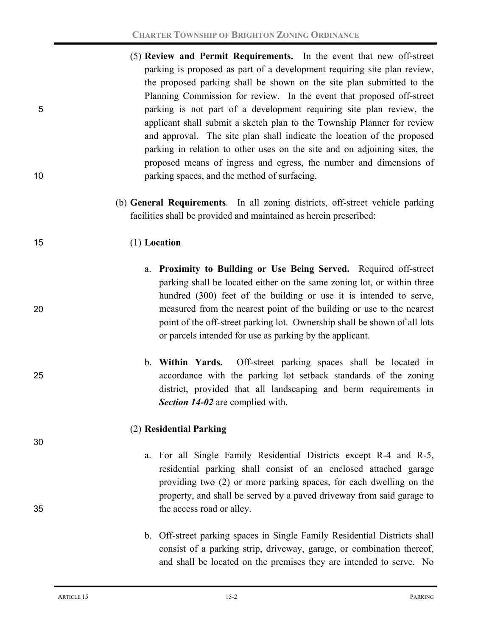- (5) **Review and Permit Requirements.** In the event that new off-street parking is proposed as part of a development requiring site plan review, the proposed parking shall be shown on the site plan submitted to the Planning Commission for review. In the event that proposed off-street 5 parking is not part of a development requiring site plan review, the applicant shall submit a sketch plan to the Township Planner for review and approval. The site plan shall indicate the location of the proposed parking in relation to other uses on the site and on adjoining sites, the proposed means of ingress and egress, the number and dimensions of 10 parking spaces, and the method of surfacing.
	- (b) **General Requirements**. In all zoning districts, off-street vehicle parking facilities shall be provided and maintained as herein prescribed:

# 15 (1) **Location**

- a. **Proximity to Building or Use Being Served.** Required off-street parking shall be located either on the same zoning lot, or within three hundred (300) feet of the building or use it is intended to serve, 20 measured from the nearest point of the building or use to the nearest point of the off-street parking lot. Ownership shall be shown of all lots or parcels intended for use as parking by the applicant.
- b. **Within Yards.** Off-street parking spaces shall be located in 25 accordance with the parking lot setback standards of the zoning district, provided that all landscaping and berm requirements in *Section 14-02* are complied with.

### (2) **Residential Parking**

- a. For all Single Family Residential Districts except R-4 and R-5, residential parking shall consist of an enclosed attached garage providing two (2) or more parking spaces, for each dwelling on the property, and shall be served by a paved driveway from said garage to 35 the access road or alley.
	- b. Off-street parking spaces in Single Family Residential Districts shall consist of a parking strip, driveway, garage, or combination thereof, and shall be located on the premises they are intended to serve. No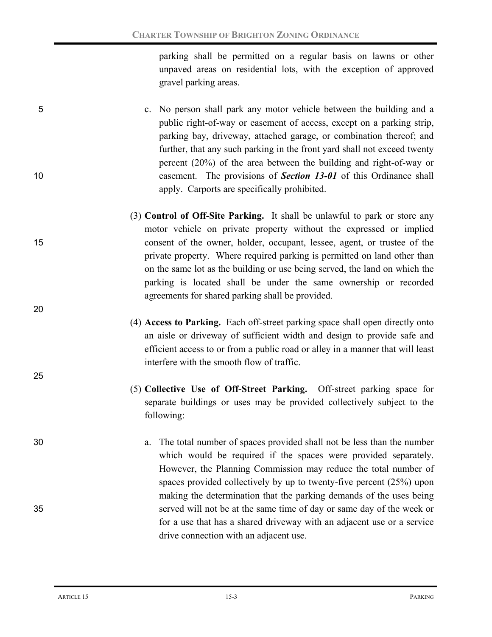parking shall be permitted on a regular basis on lawns or other unpaved areas on residential lots, with the exception of approved gravel parking areas.

- 5 c. No person shall park any motor vehicle between the building and a public right-of-way or easement of access, except on a parking strip, parking bay, driveway, attached garage, or combination thereof; and further, that any such parking in the front yard shall not exceed twenty percent (20%) of the area between the building and right-of-way or 10 easement. The provisions of *Section 13-01* of this Ordinance shall apply. Carports are specifically prohibited.
- (3) **Control of Off-Site Parking.** It shall be unlawful to park or store any motor vehicle on private property without the expressed or implied 15 consent of the owner, holder, occupant, lessee, agent, or trustee of the private property. Where required parking is permitted on land other than on the same lot as the building or use being served, the land on which the parking is located shall be under the same ownership or recorded agreements for shared parking shall be provided.
	- (4) **Access to Parking.** Each off-street parking space shall open directly onto an aisle or driveway of sufficient width and design to provide safe and efficient access to or from a public road or alley in a manner that will least interfere with the smooth flow of traffic.
	- (5) **Collective Use of Off-Street Parking.** Off-street parking space for separate buildings or uses may be provided collectively subject to the following:
- 30 a. The total number of spaces provided shall not be less than the number which would be required if the spaces were provided separately. However, the Planning Commission may reduce the total number of spaces provided collectively by up to twenty-five percent (25%) upon making the determination that the parking demands of the uses being 35 served will not be at the same time of day or same day of the week or for a use that has a shared driveway with an adjacent use or a service drive connection with an adjacent use.

20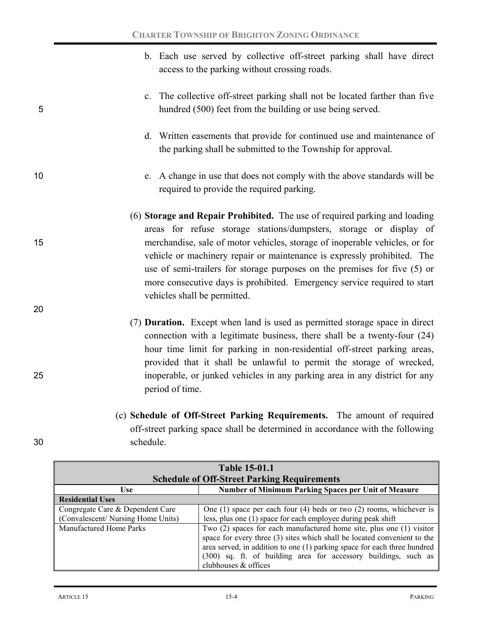- b. Each use served by collective off-street parking shall have direct access to the parking without crossing roads.
- c. The collective off-street parking shall not be located farther than five 5 hundred (500) feet from the building or use being served.
	- d. Written easements that provide for continued use and maintenance of the parking shall be submitted to the Township for approval.
- 10 e. A change in use that does not comply with the above standards will be required to provide the required parking.
- (6) **Storage and Repair Prohibited.** The use of required parking and loading areas for refuse storage stations/dumpsters, storage or display of 15 merchandise, sale of motor vehicles, storage of inoperable vehicles, or for vehicle or machinery repair or maintenance is expressly prohibited. The use of semi-trailers for storage purposes on the premises for five (5) or more consecutive days is prohibited. Emergency service required to start vehicles shall be permitted.
- (7) **Duration.** Except when land is used as permitted storage space in direct connection with a legitimate business, there shall be a twenty-four (24) hour time limit for parking in non-residential off-street parking areas, provided that it shall be unlawful to permit the storage of wrecked, 25 inoperable, or junked vehicles in any parking area in any district for any period of time.
- (c) **Schedule of Off-Street Parking Requirements.** The amount of required off-street parking space shall be determined in accordance with the following 30 schedule.

| <b>Table 15-01.1</b>                               |                                                                           |  |  |
|----------------------------------------------------|---------------------------------------------------------------------------|--|--|
| <b>Schedule of Off-Street Parking Requirements</b> |                                                                           |  |  |
| <b>Use</b>                                         | Number of Minimum Parking Spaces per Unit of Measure                      |  |  |
| <b>Residential Uses</b>                            |                                                                           |  |  |
| Congregate Care & Dependent Care                   | One $(1)$ space per each four $(4)$ beds or two $(2)$ rooms, whichever is |  |  |
| (Convalescent/Nursing Home Units)                  | less, plus one (1) space for each employee during peak shift              |  |  |
| Manufactured Home Parks                            | Two (2) spaces for each manufactured home site, plus one (1) visitor      |  |  |
|                                                    | space for every three (3) sites which shall be located convenient to the  |  |  |
|                                                    | area served, in addition to one (1) parking space for each three hundred  |  |  |
|                                                    | (300) sq. ft. of building area for accessory buildings, such as           |  |  |
|                                                    | clubhouses & offices                                                      |  |  |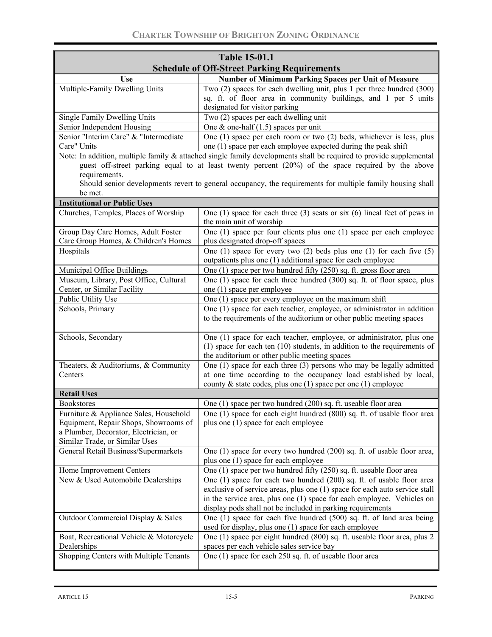| <b>Table 15-01.1</b>                                                  |                                                                                                                                               |  |  |
|-----------------------------------------------------------------------|-----------------------------------------------------------------------------------------------------------------------------------------------|--|--|
| <b>Schedule of Off-Street Parking Requirements</b>                    |                                                                                                                                               |  |  |
| <b>Use</b>                                                            | Number of Minimum Parking Spaces per Unit of Measure                                                                                          |  |  |
| Multiple-Family Dwelling Units                                        | Two (2) spaces for each dwelling unit, plus 1 per three hundred (300)                                                                         |  |  |
|                                                                       | sq. ft. of floor area in community buildings, and 1 per 5 units<br>designated for visitor parking                                             |  |  |
| Single Family Dwelling Units                                          | Two (2) spaces per each dwelling unit                                                                                                         |  |  |
| Senior Independent Housing                                            | One & one-half $(1.5)$ spaces per unit                                                                                                        |  |  |
| Senior "Interim Care" & "Intermediate                                 | One $(1)$ space per each room or two $(2)$ beds, whichever is less, plus                                                                      |  |  |
| Care" Units                                                           | one (1) space per each employee expected during the peak shift                                                                                |  |  |
|                                                                       | Note: In addition, multiple family & attached single family developments shall be required to provide supplemental                            |  |  |
|                                                                       | guest off-street parking equal to at least twenty percent (20%) of the space required by the above                                            |  |  |
| requirements.                                                         |                                                                                                                                               |  |  |
| be met.                                                               | Should senior developments revert to general occupancy, the requirements for multiple family housing shall                                    |  |  |
| <b>Institutional or Public Uses</b>                                   |                                                                                                                                               |  |  |
| Churches, Temples, Places of Worship                                  | One $(1)$ space for each three $(3)$ seats or six $(6)$ lineal feet of pews in                                                                |  |  |
|                                                                       | the main unit of worship                                                                                                                      |  |  |
| Group Day Care Homes, Adult Foster                                    | One (1) space per four clients plus one (1) space per each employee                                                                           |  |  |
| Care Group Homes, & Children's Homes                                  | plus designated drop-off spaces                                                                                                               |  |  |
| Hospitals                                                             | One (1) space for every two (2) beds plus one (1) for each five $(5)$                                                                         |  |  |
|                                                                       | outpatients plus one (1) additional space for each employee                                                                                   |  |  |
| Municipal Office Buildings                                            | One (1) space per two hundred fifty (250) sq. ft. gross floor area                                                                            |  |  |
| Museum, Library, Post Office, Cultural<br>Center, or Similar Facility | One $(1)$ space for each three hundred $(300)$ sq. ft. of floor space, plus<br>one (1) space per employee                                     |  |  |
| Public Utility Use                                                    | One (1) space per every employee on the maximum shift                                                                                         |  |  |
| Schools, Primary                                                      | One (1) space for each teacher, employee, or administrator in addition                                                                        |  |  |
|                                                                       | to the requirements of the auditorium or other public meeting spaces                                                                          |  |  |
| Schools, Secondary                                                    | One (1) space for each teacher, employee, or administrator, plus one                                                                          |  |  |
|                                                                       | $(1)$ space for each ten $(10)$ students, in addition to the requirements of                                                                  |  |  |
|                                                                       | the auditorium or other public meeting spaces                                                                                                 |  |  |
| Theaters, & Auditoriums, & Community<br>Centers                       | One $(1)$ space for each three $(3)$ persons who may be legally admitted<br>at one time according to the occupancy load established by local, |  |  |
|                                                                       | county $\&$ state codes, plus one (1) space per one (1) employee                                                                              |  |  |
| <b>Retail Uses</b>                                                    |                                                                                                                                               |  |  |
| <b>Bookstores</b>                                                     | One (1) space per two hundred (200) sq. ft. useable floor area                                                                                |  |  |
| Furniture & Appliance Sales, Household                                | One (1) space for each eight hundred (800) sq. ft. of usable floor area                                                                       |  |  |
| Equipment, Repair Shops, Showrooms of                                 | plus one (1) space for each employee                                                                                                          |  |  |
| a Plumber, Decorator, Electrician, or                                 |                                                                                                                                               |  |  |
| Similar Trade, or Similar Uses                                        |                                                                                                                                               |  |  |
| General Retail Business/Supermarkets                                  | One (1) space for every two hundred (200) sq. ft. of usable floor area,<br>plus one (1) space for each employee                               |  |  |
| Home Improvement Centers                                              | One (1) space per two hundred fifty (250) sq. ft. useable floor area                                                                          |  |  |
| New & Used Automobile Dealerships                                     | One (1) space for each two hundred (200) sq. ft. of usable floor area                                                                         |  |  |
|                                                                       | exclusive of service areas, plus one (1) space for each auto service stall                                                                    |  |  |
|                                                                       | in the service area, plus one (1) space for each employee. Vehicles on                                                                        |  |  |
|                                                                       | display pods shall not be included in parking requirements                                                                                    |  |  |
| Outdoor Commercial Display & Sales                                    | One (1) space for each five hundred (500) sq. ft. of land area being<br>used for display, plus one (1) space for each employee                |  |  |
| Boat, Recreational Vehicle & Motorcycle                               | One (1) space per eight hundred (800) sq. ft. useable floor area, plus 2                                                                      |  |  |
| Dealerships                                                           | spaces per each vehicle sales service bay                                                                                                     |  |  |
| Shopping Centers with Multiple Tenants                                | One (1) space for each 250 sq. ft. of useable floor area                                                                                      |  |  |
|                                                                       |                                                                                                                                               |  |  |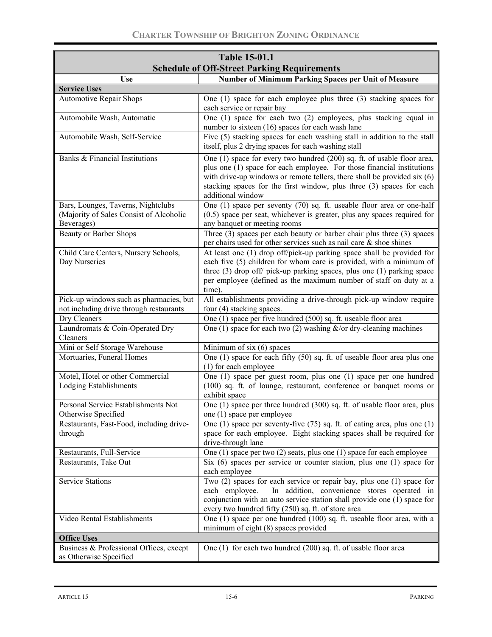| <b>Table 15-01.1</b>                                                                        |                                                                                                                                                                                                                                                                                                                                 |  |  |
|---------------------------------------------------------------------------------------------|---------------------------------------------------------------------------------------------------------------------------------------------------------------------------------------------------------------------------------------------------------------------------------------------------------------------------------|--|--|
| <b>Schedule of Off-Street Parking Requirements</b>                                          |                                                                                                                                                                                                                                                                                                                                 |  |  |
| <b>Use</b>                                                                                  | <b>Number of Minimum Parking Spaces per Unit of Measure</b>                                                                                                                                                                                                                                                                     |  |  |
| <b>Service Uses</b>                                                                         |                                                                                                                                                                                                                                                                                                                                 |  |  |
| <b>Automotive Repair Shops</b>                                                              | One $(1)$ space for each employee plus three $(3)$ stacking spaces for<br>each service or repair bay                                                                                                                                                                                                                            |  |  |
| Automobile Wash, Automatic                                                                  | One (1) space for each two (2) employees, plus stacking equal in<br>number to sixteen (16) spaces for each wash lane                                                                                                                                                                                                            |  |  |
| Automobile Wash, Self-Service                                                               | Five (5) stacking spaces for each washing stall in addition to the stall<br>itself, plus 2 drying spaces for each washing stall                                                                                                                                                                                                 |  |  |
| Banks & Financial Institutions                                                              | One (1) space for every two hundred (200) sq. ft. of usable floor area,<br>plus one (1) space for each employee. For those financial institutions<br>with drive-up windows or remote tellers, there shall be provided $s$ ix $(6)$<br>stacking spaces for the first window, plus three (3) spaces for each<br>additional window |  |  |
| Bars, Lounges, Taverns, Nightclubs<br>(Majority of Sales Consist of Alcoholic<br>Beverages) | One (1) space per seventy (70) sq. ft. useable floor area or one-half<br>$(0.5)$ space per seat, whichever is greater, plus any spaces required for<br>any banquet or meeting rooms                                                                                                                                             |  |  |
| <b>Beauty or Barber Shops</b>                                                               | Three $(3)$ spaces per each beauty or barber chair plus three $(3)$ spaces<br>per chairs used for other services such as nail care $\&$ shoe shines                                                                                                                                                                             |  |  |
| Child Care Centers, Nursery Schools,<br>Day Nurseries                                       | At least one (1) drop off/pick-up parking space shall be provided for<br>each five (5) children for whom care is provided, with a minimum of<br>three $(3)$ drop off/ pick-up parking spaces, plus one $(1)$ parking space<br>per employee (defined as the maximum number of staff on duty at a<br>time).                       |  |  |
| Pick-up windows such as pharmacies, but<br>not including drive through restaurants          | All establishments providing a drive-through pick-up window require<br>four (4) stacking spaces.                                                                                                                                                                                                                                |  |  |
| Dry Cleaners                                                                                | One (1) space per five hundred (500) sq. ft. useable floor area                                                                                                                                                                                                                                                                 |  |  |
| Laundromats & Coin-Operated Dry<br>Cleaners                                                 | One (1) space for each two (2) washing $\&$ /or dry-cleaning machines                                                                                                                                                                                                                                                           |  |  |
| Mini or Self Storage Warehouse                                                              | Minimum of six $(6)$ spaces                                                                                                                                                                                                                                                                                                     |  |  |
| Mortuaries, Funeral Homes                                                                   | One (1) space for each fifty (50) sq. ft. of useable floor area plus one<br>(1) for each employee                                                                                                                                                                                                                               |  |  |
| Motel, Hotel or other Commercial<br>Lodging Establishments                                  | One (1) space per guest room, plus one (1) space per one hundred<br>(100) sq. ft. of lounge, restaurant, conference or banquet rooms or<br>exhibit space                                                                                                                                                                        |  |  |
| Personal Service Establishments Not<br>Otherwise Specified                                  | One (1) space per three hundred (300) sq. ft. of usable floor area, plus<br>one (1) space per employee                                                                                                                                                                                                                          |  |  |
| Restaurants, Fast-Food, including drive-<br>through                                         | One (1) space per seventy-five $(75)$ sq. ft. of eating area, plus one (1)<br>space for each employee. Eight stacking spaces shall be required for<br>drive-through lane                                                                                                                                                        |  |  |
| Restaurants, Full-Service                                                                   | One $(1)$ space per two $(2)$ seats, plus one $(1)$ space for each employee                                                                                                                                                                                                                                                     |  |  |
| Restaurants, Take Out                                                                       | Six $(6)$ spaces per service or counter station, plus one $(1)$ space for<br>each employee                                                                                                                                                                                                                                      |  |  |
| <b>Service Stations</b>                                                                     | Two $(2)$ spaces for each service or repair bay, plus one $(1)$ space for<br>In addition, convenience stores operated in<br>each employee.<br>conjunction with an auto service station shall provide one (1) space for<br>every two hundred fifty (250) sq. ft. of store area                                                   |  |  |
| Video Rental Establishments                                                                 | One (1) space per one hundred (100) sq. ft. useable floor area, with a<br>minimum of eight (8) spaces provided                                                                                                                                                                                                                  |  |  |
| <b>Office Uses</b>                                                                          |                                                                                                                                                                                                                                                                                                                                 |  |  |
| Business & Professional Offices, except<br>as Otherwise Specified                           | One $(1)$ for each two hundred $(200)$ sq. ft. of usable floor area                                                                                                                                                                                                                                                             |  |  |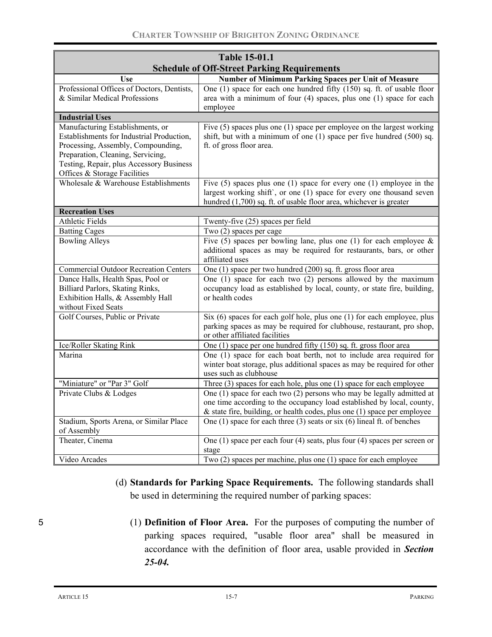| <b>Table 15-01.1</b>                                                     |                                                                                                                                                   |  |  |
|--------------------------------------------------------------------------|---------------------------------------------------------------------------------------------------------------------------------------------------|--|--|
| <b>Schedule of Off-Street Parking Requirements</b>                       |                                                                                                                                                   |  |  |
| Use                                                                      | Number of Minimum Parking Spaces per Unit of Measure                                                                                              |  |  |
| Professional Offices of Doctors, Dentists,                               | One $(1)$ space for each one hundred fifty $(150)$ sq. ft. of usable floor                                                                        |  |  |
| & Similar Medical Professions                                            | area with a minimum of four (4) spaces, plus one (1) space for each                                                                               |  |  |
|                                                                          | employee                                                                                                                                          |  |  |
| <b>Industrial Uses</b>                                                   |                                                                                                                                                   |  |  |
| Manufacturing Establishments, or                                         | Five $(5)$ spaces plus one $(1)$ space per employee on the largest working                                                                        |  |  |
| Establishments for Industrial Production,                                | shift, but with a minimum of one (1) space per five hundred (500) sq.                                                                             |  |  |
| Processing, Assembly, Compounding,                                       | ft. of gross floor area.                                                                                                                          |  |  |
| Preparation, Cleaning, Servicing,                                        |                                                                                                                                                   |  |  |
| Testing, Repair, plus Accessory Business<br>Offices & Storage Facilities |                                                                                                                                                   |  |  |
| Wholesale & Warehouse Establishments                                     | Five $(5)$ spaces plus one $(1)$ space for every one $(1)$ employee in the                                                                        |  |  |
|                                                                          | largest working shift', or one (1) space for every one thousand seven                                                                             |  |  |
|                                                                          | hundred (1,700) sq. ft. of usable floor area, whichever is greater                                                                                |  |  |
| <b>Recreation Uses</b>                                                   |                                                                                                                                                   |  |  |
| <b>Athletic Fields</b>                                                   | Twenty-five (25) spaces per field                                                                                                                 |  |  |
| <b>Batting Cages</b>                                                     | Two (2) spaces per cage                                                                                                                           |  |  |
| <b>Bowling Alleys</b>                                                    | Five (5) spaces per bowling lane, plus one (1) for each employee $\&$                                                                             |  |  |
|                                                                          | additional spaces as may be required for restaurants, bars, or other                                                                              |  |  |
|                                                                          | affiliated uses                                                                                                                                   |  |  |
| <b>Commercial Outdoor Recreation Centers</b>                             | One (1) space per two hundred (200) sq. ft. gross floor area                                                                                      |  |  |
| Dance Halls, Health Spas, Pool or                                        | One $(1)$ space for each two $(2)$ persons allowed by the maximum                                                                                 |  |  |
| Billiard Parlors, Skating Rinks,                                         | occupancy load as established by local, county, or state fire, building,                                                                          |  |  |
| Exhibition Halls, & Assembly Hall                                        | or health codes                                                                                                                                   |  |  |
| without Fixed Seats                                                      |                                                                                                                                                   |  |  |
| Golf Courses, Public or Private                                          | Six (6) spaces for each golf hole, plus one (1) for each employee, plus<br>parking spaces as may be required for clubhouse, restaurant, pro shop, |  |  |
|                                                                          | or other affiliated facilities                                                                                                                    |  |  |
| Ice/Roller Skating Rink                                                  | One (1) space per one hundred fifty (150) sq. ft. gross floor area                                                                                |  |  |
| Marina                                                                   | One (1) space for each boat berth, not to include area required for                                                                               |  |  |
|                                                                          | winter boat storage, plus additional spaces as may be required for other                                                                          |  |  |
|                                                                          | uses such as clubhouse                                                                                                                            |  |  |
| "Miniature" or "Par 3" Golf                                              | Three $(3)$ spaces for each hole, plus one $(1)$ space for each employee                                                                          |  |  |
| Private Clubs & Lodges                                                   | One (1) space for each two (2) persons who may be legally admitted at                                                                             |  |  |
|                                                                          | one time according to the occupancy load established by local, county,                                                                            |  |  |
|                                                                          | $\&$ state fire, building, or health codes, plus one (1) space per employee                                                                       |  |  |
| Stadium, Sports Arena, or Similar Place                                  | One (1) space for each three (3) seats or six (6) lineal ft. of benches                                                                           |  |  |
| of Assembly                                                              |                                                                                                                                                   |  |  |
| Theater, Cinema                                                          | One (1) space per each four (4) seats, plus four (4) spaces per screen or                                                                         |  |  |
|                                                                          | stage                                                                                                                                             |  |  |
| Video Arcades                                                            | Two (2) spaces per machine, plus one (1) space for each employee                                                                                  |  |  |

(d) **Standards for Parking Space Requirements.** The following standards shall be used in determining the required number of parking spaces:

5 (1) **Definition of Floor Area.** For the purposes of computing the number of parking spaces required, "usable floor area" shall be measured in accordance with the definition of floor area, usable provided in *Section 25-04.*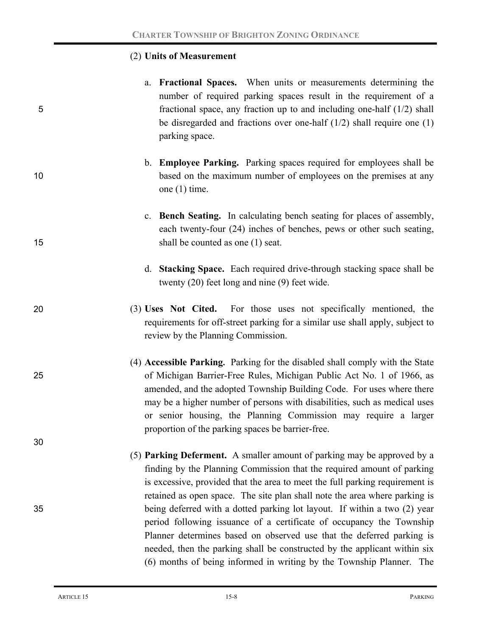### (2) **Units of Measurement**

- a. **Fractional Spaces.** When units or measurements determining the number of required parking spaces result in the requirement of a 5 fractional space, any fraction up to and including one-half (1/2) shall be disregarded and fractions over one-half (1/2) shall require one (1) parking space.
- b. **Employee Parking.** Parking spaces required for employees shall be 10 **based on the maximum number of employees on the premises at any** one (1) time.
- c. **Bench Seating.** In calculating bench seating for places of assembly, each twenty-four (24) inches of benches, pews or other such seating, 15 shall be counted as one (1) seat.
	- d. **Stacking Space.** Each required drive-through stacking space shall be twenty (20) feet long and nine (9) feet wide.
- 20 (3) **Uses Not Cited.** For those uses not specifically mentioned, the requirements for off-street parking for a similar use shall apply, subject to review by the Planning Commission.
- (4) **Accessible Parking.** Parking for the disabled shall comply with the State 25 of Michigan Barrier-Free Rules, Michigan Public Act No. 1 of 1966, as amended, and the adopted Township Building Code. For uses where there may be a higher number of persons with disabilities, such as medical uses or senior housing, the Planning Commission may require a larger proportion of the parking spaces be barrier-free.
- (5) **Parking Deferment.** A smaller amount of parking may be approved by a finding by the Planning Commission that the required amount of parking is excessive, provided that the area to meet the full parking requirement is retained as open space. The site plan shall note the area where parking is 35 being deferred with a dotted parking lot layout. If within a two (2) year period following issuance of a certificate of occupancy the Township Planner determines based on observed use that the deferred parking is needed, then the parking shall be constructed by the applicant within six (6) months of being informed in writing by the Township Planner. The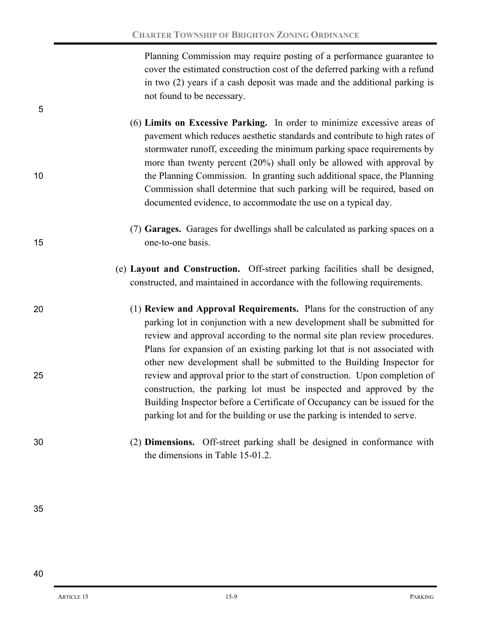Planning Commission may require posting of a performance guarantee to cover the estimated construction cost of the deferred parking with a refund in two (2) years if a cash deposit was made and the additional parking is not found to be necessary.

(6) **Limits on Excessive Parking.** In order to minimize excessive areas of pavement which reduces aesthetic standards and contribute to high rates of stormwater runoff, exceeding the minimum parking space requirements by more than twenty percent (20%) shall only be allowed with approval by 10 the Planning Commission. In granting such additional space, the Planning Commission shall determine that such parking will be required, based on documented evidence, to accommodate the use on a typical day.

- (7) **Garages.** Garages for dwellings shall be calculated as parking spaces on a 15 one-to-one basis.
	- (e) **Layout and Construction.** Off-street parking facilities shall be designed, constructed, and maintained in accordance with the following requirements.
- 20 (1) **Review and Approval Requirements.** Plans for the construction of any parking lot in conjunction with a new development shall be submitted for review and approval according to the normal site plan review procedures. Plans for expansion of an existing parking lot that is not associated with other new development shall be submitted to the Building Inspector for 25 review and approval prior to the start of construction. Upon completion of construction, the parking lot must be inspected and approved by the Building Inspector before a Certificate of Occupancy can be issued for the parking lot and for the building or use the parking is intended to serve.
- 30 (2) **Dimensions.** Off-street parking shall be designed in conformance with the dimensions in Table 15-01.2.

35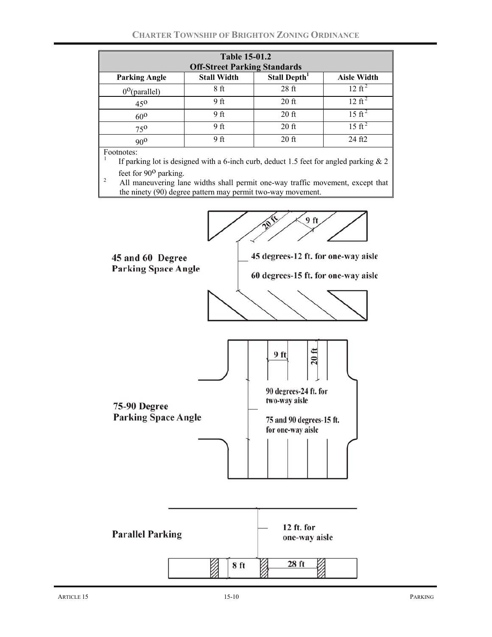| <b>Table 15-01.2</b><br><b>Off-Street Parking Standards</b>                                                                                                                                                                                                                                                 |                    |                          |                    |
|-------------------------------------------------------------------------------------------------------------------------------------------------------------------------------------------------------------------------------------------------------------------------------------------------------------|--------------------|--------------------------|--------------------|
| <b>Parking Angle</b>                                                                                                                                                                                                                                                                                        | <b>Stall Width</b> | Stall Depth <sup>1</sup> | <b>Aisle Width</b> |
| $0^{\circ}$ (parallel)                                                                                                                                                                                                                                                                                      | 8ft                | 28 <sub>f</sub>          | $12 \text{ ft}^2$  |
| 45 <sup>0</sup>                                                                                                                                                                                                                                                                                             | 9 ft               | $20$ ft                  | $12 \text{ ft}^2$  |
| $60^{\rm o}$                                                                                                                                                                                                                                                                                                | 9 ft               | $20$ ft                  | $15 \text{ ft}^2$  |
| 750                                                                                                                                                                                                                                                                                                         | 9 ft               | $20$ ft                  | $15 \text{ ft}^2$  |
| $90^{\circ}$                                                                                                                                                                                                                                                                                                | 9 <sub>ft</sub>    | $20$ ft                  | 24 ft2             |
| Footnotes:<br>If parking lot is designed with a 6-inch curb, deduct 1.5 feet for angled parking $\&$ 2<br>feet for $90^{\circ}$ parking.<br>$\overline{2}$<br>All maneuvering lane widths shall permit one-way traffic movement, except that<br>the ninety (90) degree pattern may permit two-way movement. |                    |                          |                    |
|                                                                                                                                                                                                                                                                                                             |                    |                          |                    |

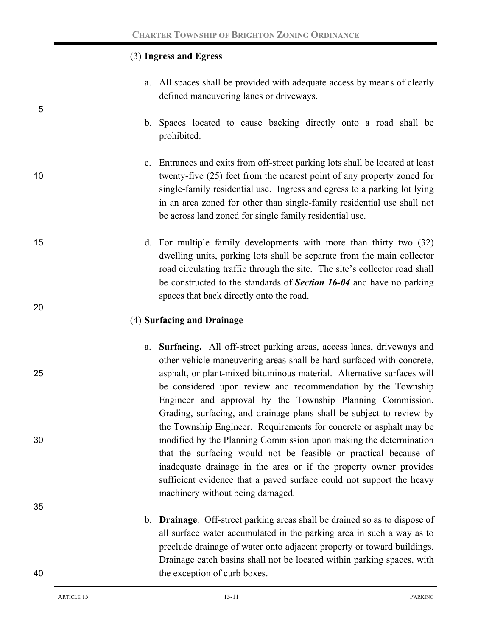# (3) **Ingress and Egress**

a. All spaces shall be provided with adequate access by means of clearly defined maneuvering lanes or driveways.

- b. Spaces located to cause backing directly onto a road shall be prohibited.
- c. Entrances and exits from off-street parking lots shall be located at least 10 twenty-five (25) feet from the nearest point of any property zoned for single-family residential use. Ingress and egress to a parking lot lying in an area zoned for other than single-family residential use shall not be across land zoned for single family residential use.
- 15 d. For multiple family developments with more than thirty two (32) dwelling units, parking lots shall be separate from the main collector road circulating traffic through the site. The site's collector road shall be constructed to the standards of *Section 16-04* and have no parking spaces that back directly onto the road.

# (4) **Surfacing and Drainage**

- a. **Surfacing.** All off-street parking areas, access lanes, driveways and other vehicle maneuvering areas shall be hard-surfaced with concrete, 25 asphalt, or plant-mixed bituminous material. Alternative surfaces will be considered upon review and recommendation by the Township Engineer and approval by the Township Planning Commission. Grading, surfacing, and drainage plans shall be subject to review by the Township Engineer. Requirements for concrete or asphalt may be 30 modified by the Planning Commission upon making the determination that the surfacing would not be feasible or practical because of inadequate drainage in the area or if the property owner provides sufficient evidence that a paved surface could not support the heavy machinery without being damaged.
- b. **Drainage**. Off-street parking areas shall be drained so as to dispose of all surface water accumulated in the parking area in such a way as to preclude drainage of water onto adjacent property or toward buildings. Drainage catch basins shall not be located within parking spaces, with 40 the exception of curb boxes.

5

20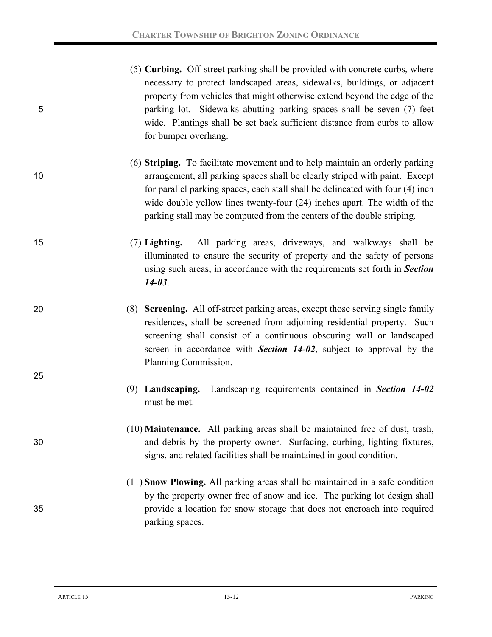|   | (5) Curbing. Off-street parking shall be provided with concrete curbs, where |
|---|------------------------------------------------------------------------------|
|   | necessary to protect landscaped areas, sidewalks, buildings, or adjacent     |
|   | property from vehicles that might otherwise extend beyond the edge of the    |
| 5 | parking lot. Sidewalks abutting parking spaces shall be seven (7) feet       |
|   | wide. Plantings shall be set back sufficient distance from curbs to allow    |
|   | for bumper overhang.                                                         |

- (6) **Striping.** To facilitate movement and to help maintain an orderly parking 10 arrangement, all parking spaces shall be clearly striped with paint. Except for parallel parking spaces, each stall shall be delineated with four (4) inch wide double yellow lines twenty-four (24) inches apart. The width of the parking stall may be computed from the centers of the double striping.
- 15 (7) **Lighting.** All parking areas, driveways, and walkways shall be illuminated to ensure the security of property and the safety of persons using such areas, in accordance with the requirements set forth in *Section 14-03*.
- 

- 25
- 20 (8) **Screening.** All off-street parking areas, except those serving single family residences, shall be screened from adjoining residential property. Such screening shall consist of a continuous obscuring wall or landscaped screen in accordance with *Section 14-02*, subject to approval by the Planning Commission.
	- (9) **Landscaping.** Landscaping requirements contained in *Section 14-02*  must be met.
- (10) **Maintenance.** All parking areas shall be maintained free of dust, trash, 30 and debris by the property owner. Surfacing, curbing, lighting fixtures, signs, and related facilities shall be maintained in good condition.
- (11) **Snow Plowing.** All parking areas shall be maintained in a safe condition by the property owner free of snow and ice. The parking lot design shall 35 provide a location for snow storage that does not encroach into required parking spaces.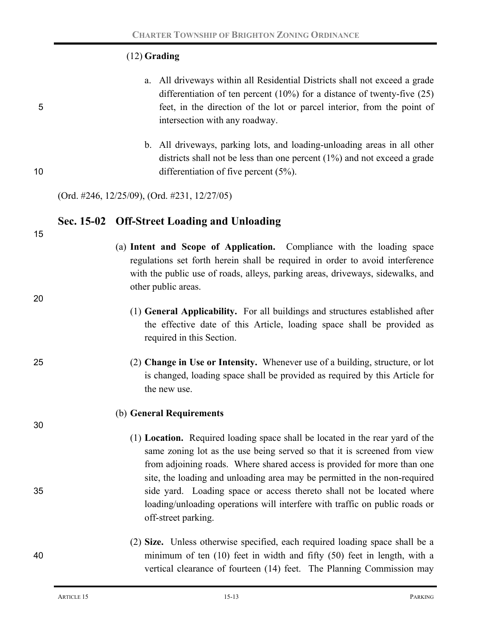## (12) **Grading**

|    | a. All driveways within all Residential Districts shall not exceed a grade   |
|----|------------------------------------------------------------------------------|
|    | differentiation of ten percent $(10\%)$ for a distance of twenty-five $(25)$ |
| 5. | feet, in the direction of the lot or parcel interior, from the point of      |
|    | intersection with any roadway.                                               |

b. All driveways, parking lots, and loading-unloading areas in all other districts shall not be less than one percent (1%) and not exceed a grade 10 differentiation of five percent (5%).

(Ord. #246, 12/25/09), (Ord. #231, 12/27/05)

## **Sec. 15-02 Off-Street Loading and Unloading**

15

20

30

- (a) **Intent and Scope of Application.** Compliance with the loading space regulations set forth herein shall be required in order to avoid interference with the public use of roads, alleys, parking areas, driveways, sidewalks, and other public areas.
	- (1) **General Applicability.** For all buildings and structures established after the effective date of this Article, loading space shall be provided as required in this Section.
- 25 (2) **Change in Use or Intensity.** Whenever use of a building, structure, or lot is changed, loading space shall be provided as required by this Article for the new use.

#### (b) **General Requirements**

(1) **Location.** Required loading space shall be located in the rear yard of the same zoning lot as the use being served so that it is screened from view from adjoining roads. Where shared access is provided for more than one site, the loading and unloading area may be permitted in the non-required 35 side yard. Loading space or access thereto shall not be located where loading/unloading operations will interfere with traffic on public roads or off-street parking.

# (2) **Size.** Unless otherwise specified, each required loading space shall be a 40 minimum of ten (10) feet in width and fifty (50) feet in length, with a vertical clearance of fourteen (14) feet. The Planning Commission may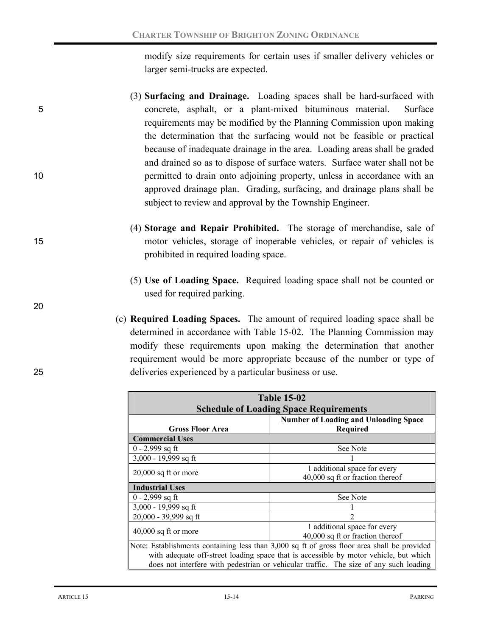modify size requirements for certain uses if smaller delivery vehicles or larger semi-trucks are expected.

- (3) **Surfacing and Drainage.** Loading spaces shall be hard-surfaced with 5 concrete, asphalt, or a plant-mixed bituminous material. Surface requirements may be modified by the Planning Commission upon making the determination that the surfacing would not be feasible or practical because of inadequate drainage in the area. Loading areas shall be graded and drained so as to dispose of surface waters. Surface water shall not be 10 10 permitted to drain onto adjoining property, unless in accordance with an approved drainage plan. Grading, surfacing, and drainage plans shall be subject to review and approval by the Township Engineer.
- (4) **Storage and Repair Prohibited.** The storage of merchandise, sale of 15 motor vehicles, storage of inoperable vehicles, or repair of vehicles is prohibited in required loading space.
	- (5) **Use of Loading Space.** Required loading space shall not be counted or used for required parking.
- (c) **Required Loading Spaces.** The amount of required loading space shall be determined in accordance with Table 15-02. The Planning Commission may modify these requirements upon making the determination that another requirement would be more appropriate because of the number or type of 25 deliveries experienced by a particular business or use.

| <b>Table 15-02</b><br><b>Schedule of Loading Space Requirements</b>                                                                                                                                                                                                           |                                                                  |  |  |
|-------------------------------------------------------------------------------------------------------------------------------------------------------------------------------------------------------------------------------------------------------------------------------|------------------------------------------------------------------|--|--|
| <b>Gross Floor Area</b>                                                                                                                                                                                                                                                       | <b>Number of Loading and Unloading Space</b><br><b>Required</b>  |  |  |
| <b>Commercial Uses</b>                                                                                                                                                                                                                                                        |                                                                  |  |  |
| $0 - 2,999$ sq ft                                                                                                                                                                                                                                                             | See Note                                                         |  |  |
| 3,000 - 19,999 sq ft                                                                                                                                                                                                                                                          |                                                                  |  |  |
| $20,000$ sq ft or more                                                                                                                                                                                                                                                        | 1 additional space for every<br>40,000 sq ft or fraction thereof |  |  |
| <b>Industrial Uses</b>                                                                                                                                                                                                                                                        |                                                                  |  |  |
| $0 - 2,999$ sq ft                                                                                                                                                                                                                                                             | See Note                                                         |  |  |
| 3,000 - 19,999 sq ft                                                                                                                                                                                                                                                          |                                                                  |  |  |
| 20,000 - 39,999 sq ft<br>2                                                                                                                                                                                                                                                    |                                                                  |  |  |
| $40,000$ sq ft or more                                                                                                                                                                                                                                                        | 1 additional space for every<br>40,000 sq ft or fraction thereof |  |  |
| Note: Establishments containing less than 3,000 sq ft of gross floor area shall be provided<br>with adequate off-street loading space that is accessible by motor vehicle, but which<br>does not interfere with pedestrian or vehicular traffic. The size of any such loading |                                                                  |  |  |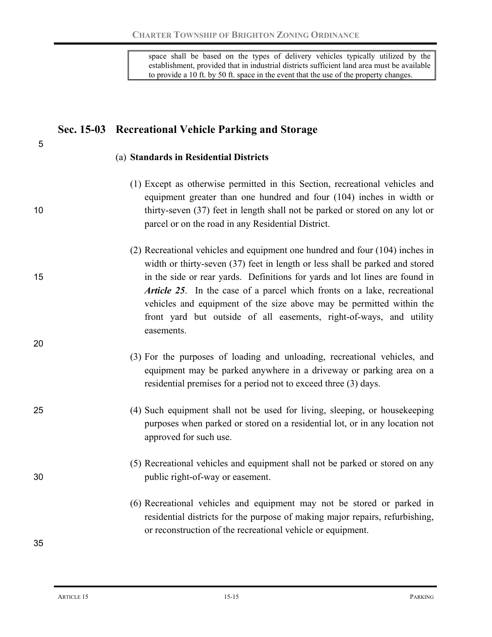space shall be based on the types of delivery vehicles typically utilized by the establishment, provided that in industrial districts sufficient land area must be available to provide a 10 ft. by 50 ft. space in the event that the use of the property changes.

# **Sec. 15-03 Recreational Vehicle Parking and Storage**

#### (a) **Standards in Residential Districts**

- (1) Except as otherwise permitted in this Section, recreational vehicles and equipment greater than one hundred and four (104) inches in width or 10 thirty-seven (37) feet in length shall not be parked or stored on any lot or parcel or on the road in any Residential District.
- (2) Recreational vehicles and equipment one hundred and four (104) inches in width or thirty-seven (37) feet in length or less shall be parked and stored 15 in the side or rear yards. Definitions for yards and lot lines are found in *Article 25*. In the case of a parcel which fronts on a lake, recreational vehicles and equipment of the size above may be permitted within the front yard but outside of all easements, right-of-ways, and utility easements.
	- (3) For the purposes of loading and unloading, recreational vehicles, and equipment may be parked anywhere in a driveway or parking area on a residential premises for a period not to exceed three (3) days.
- 25 (4) Such equipment shall not be used for living, sleeping, or housekeeping purposes when parked or stored on a residential lot, or in any location not approved for such use.
- (5) Recreational vehicles and equipment shall not be parked or stored on any 30 public right-of-way or easement.
	- (6) Recreational vehicles and equipment may not be stored or parked in residential districts for the purpose of making major repairs, refurbishing, or reconstruction of the recreational vehicle or equipment.

35

20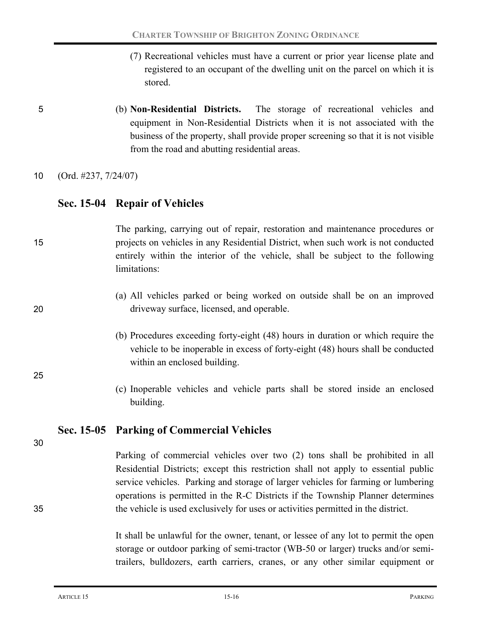- (7) Recreational vehicles must have a current or prior year license plate and registered to an occupant of the dwelling unit on the parcel on which it is stored.
- 5 (b) **Non-Residential Districts.** The storage of recreational vehicles and equipment in Non-Residential Districts when it is not associated with the business of the property, shall provide proper screening so that it is not visible from the road and abutting residential areas.

10 (Ord. #237, 7/24/07)

## **Sec. 15-04 Repair of Vehicles**

# The parking, carrying out of repair, restoration and maintenance procedures or 15 projects on vehicles in any Residential District, when such work is not conducted entirely within the interior of the vehicle, shall be subject to the following limitations:

- (a) All vehicles parked or being worked on outside shall be on an improved 20 driveway surface, licensed, and operable.
	- (b) Procedures exceeding forty-eight (48) hours in duration or which require the vehicle to be inoperable in excess of forty-eight (48) hours shall be conducted within an enclosed building.
	- (c) Inoperable vehicles and vehicle parts shall be stored inside an enclosed building.

# **Sec. 15-05 Parking of Commercial Vehicles**

30

25

Parking of commercial vehicles over two (2) tons shall be prohibited in all Residential Districts; except this restriction shall not apply to essential public service vehicles. Parking and storage of larger vehicles for farming or lumbering operations is permitted in the R-C Districts if the Township Planner determines 35 the vehicle is used exclusively for uses or activities permitted in the district.

> It shall be unlawful for the owner, tenant, or lessee of any lot to permit the open storage or outdoor parking of semi-tractor (WB-50 or larger) trucks and/or semitrailers, bulldozers, earth carriers, cranes, or any other similar equipment or